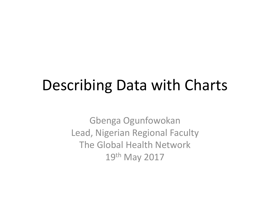## Describing Data with Charts

Gbenga Ogunfowokan Lead, Nigerian Regional Faculty The Global Health Network 19th May 2017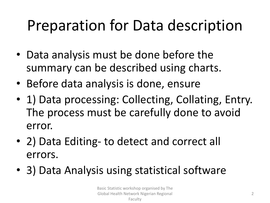# Preparation for Data description

- Data analysis must be done before the summary can be described using charts.
- Before data analysis is done, ensure
- 1) Data processing: Collecting, Collating, Entry. The process must be carefully done to avoid error.
- 2) Data Editing- to detect and correct all errors.
- 3) Data Analysis using statistical software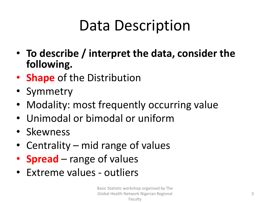# Data Description

- **To describe / interpret the data, consider the following.**
- **Shape** of the Distribution
- Symmetry
- Modality: most frequently occurring value
- Unimodal or bimodal or uniform
- Skewness
- Centrality mid range of values
- **Spread** range of values
- Extreme values outliers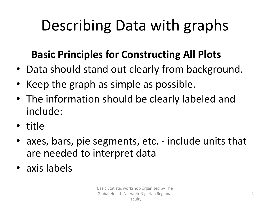# Describing Data with graphs

#### **Basic Principles for Constructing All Plots**

- Data should stand out clearly from background.
- Keep the graph as simple as possible.
- The information should be clearly labeled and include:
- title
- axes, bars, pie segments, etc. include units that are needed to interpret data
- axis labels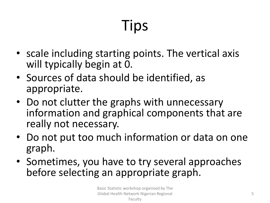# Tips

- scale including starting points. The vertical axis will typically begin at 0.
- Sources of data should be identified, as appropriate.
- Do not clutter the graphs with unnecessary information and graphical components that are really not necessary.
- Do not put too much information or data on one graph.
- Sometimes, you have to try several approaches before selecting an appropriate graph.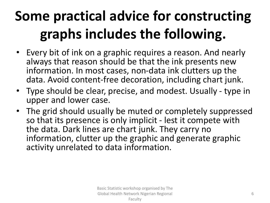# **Some practical advice for constructing graphs includes the following.**

- Every bit of ink on a graphic requires a reason. And nearly always that reason should be that the ink presents new information. In most cases, non-data ink clutters up the data. Avoid content-free decoration, including chart junk.
- Type should be clear, precise, and modest. Usually type in upper and lower case.
- The grid should usually be muted or completely suppressed so that its presence is only implicit - lest it compete with the data. Dark lines are chart junk. They carry no information, clutter up the graphic and generate graphic activity unrelated to data information.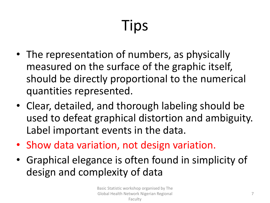# Tips

- The representation of numbers, as physically measured on the surface of the graphic itself, should be directly proportional to the numerical quantities represented.
- Clear, detailed, and thorough labeling should be used to defeat graphical distortion and ambiguity. Label important events in the data.
- Show data variation, not design variation.
- Graphical elegance is often found in simplicity of design and complexity of data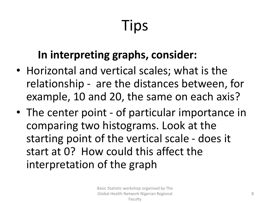# Tips

#### **In interpreting graphs, consider:**

- Horizontal and vertical scales; what is the relationship - are the distances between, for example, 10 and 20, the same on each axis?
- The center point of particular importance in comparing two histograms. Look at the starting point of the vertical scale - does it start at 0? How could this affect the interpretation of the graph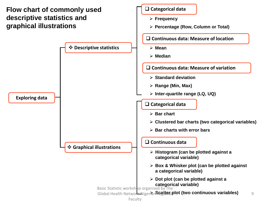#### **Flow chart of commonly used descriptive statistics and graphical illustrations**

**Exploring data**



**Categorical data**

Faculty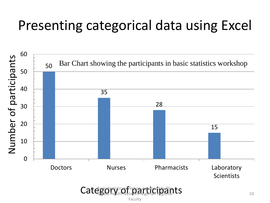#### Presenting categorical data using Excel



Category Health Network Nigerian Regional ts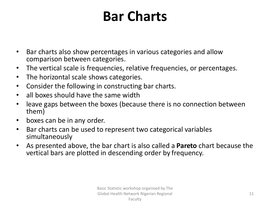### **Bar Charts**

- Bar charts also show percentages in various categories and allow comparison between categories.
- The vertical scale is frequencies, relative frequencies, or percentages.
- The horizontal scale shows categories.
- Consider the following in constructing bar charts.
- all boxes should have the same width
- leave gaps between the boxes (because there is no connection between them)
- boxes can be in any order.
- Bar charts can be used to represent two categorical variables simultaneously
- As presented above, the bar chart is also called a **Pareto** chart because the vertical bars are plotted in descending order by frequency.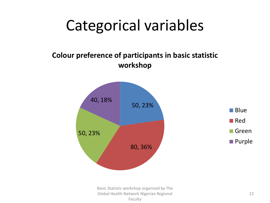# Categorical variables

#### **Colour preference of participants in basic statistic workshop**



Basic Statistic workshop organised by The Global Health Network Nigerian Regional Faculty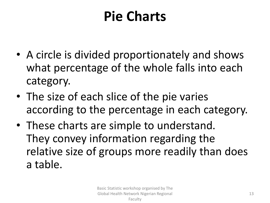### **Pie Charts**

- A circle is divided proportionately and shows what percentage of the whole falls into each category.
- The size of each slice of the pie varies according to the percentage in each category.
- These charts are simple to understand. They convey information regarding the relative size of groups more readily than does a table.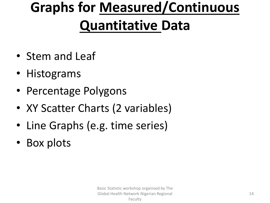# **Graphs for Measured/Continuous Quantitative Data**

- Stem and Leaf
- Histograms
- Percentage Polygons
- XY Scatter Charts (2 variables)
- Line Graphs (e.g. time series)
- Box plots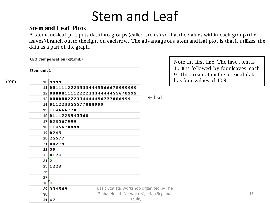#### Stem and Leaf

#### **Stem and Leaf Plots**

**Stem and Leaf Plots**<br>A stem-and-leaf plot puts data into groups (called stems) so that the values within each group (the leaves) branch out to the right on each row. The advantage of a stem and leaf plot is that it utili data as a part of the graph.

|                    | CEO Compensation (x\$1mil.) |                                                                  |                                           | Note the first line. The                           |                         |
|--------------------|-----------------------------|------------------------------------------------------------------|-------------------------------------------|----------------------------------------------------|-------------------------|
|                    | Stem unit <sup>1</sup>      |                                                                  |                                           | 10 It is followed by for<br>9. This means that the |                         |
| Stem $\rightarrow$ |                             | 10 9999                                                          |                                           |                                                    | has four values of 10.9 |
|                    |                             | 11 00111122233334445566678999999                                 |                                           |                                                    |                         |
|                    |                             | 1200000111122223334444455678999<br>13000000222334444456777888999 |                                           |                                                    |                         |
|                    |                             |                                                                  |                                           | $\leftarrow$ leaf                                  |                         |
|                    |                             | 14 011223355577888999                                            |                                           |                                                    |                         |
|                    |                             | 15 114666778                                                     |                                           |                                                    |                         |
|                    |                             | 16 0111223345568                                                 |                                           |                                                    |                         |
|                    |                             | 17 023567999                                                     |                                           |                                                    |                         |
|                    |                             | 18 1145678999                                                    |                                           |                                                    |                         |
|                    |                             | 19 0245                                                          |                                           |                                                    |                         |
|                    |                             | 20 25577                                                         |                                           |                                                    |                         |
|                    |                             | 21 00279                                                         |                                           |                                                    |                         |
|                    |                             | 22 59                                                            |                                           |                                                    |                         |
|                    |                             | 23 0124                                                          |                                           |                                                    |                         |
|                    | $24 \overline{2}$           |                                                                  |                                           |                                                    |                         |
|                    |                             | 25 1223                                                          |                                           |                                                    |                         |
|                    | 26                          |                                                                  |                                           |                                                    |                         |
|                    | 27                          |                                                                  |                                           |                                                    |                         |
|                    | 28[4]                       |                                                                  |                                           |                                                    |                         |
|                    |                             | 29 334569                                                        | Basic Statistic workshop organised by The |                                                    |                         |
|                    | 30                          |                                                                  | Global Health Network Nigerian Regional   |                                                    |                         |
|                    |                             | $31 \mid 47$                                                     | Faculty                                   |                                                    |                         |

Note the first line. The first stem is 10 It is followed by four leaves, each 9. This means that the original data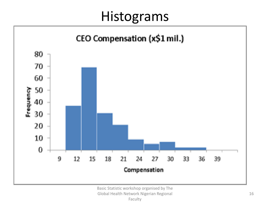#### Histograms

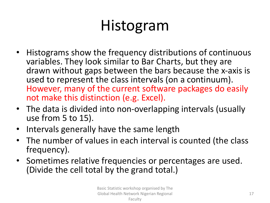# Histogram

- Histograms show the frequency distributions of continuous variables. They look similar to Bar Charts, but they are drawn without gaps between the bars because the x-axis is used to represent the class intervals (on a continuum). However, many of the current software packages do easily not make this distinction (e.g. Excel).
- The data is divided into non-overlapping intervals (usually use from 5 to 15).
- Intervals generally have the same length
- The number of values in each interval is counted (the class frequency).
- Sometimes relative frequencies or percentages are used. (Divide the cell total by the grand total.)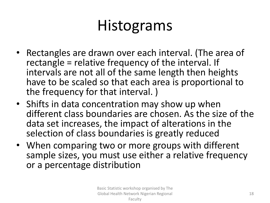# Histograms

- Rectangles are drawn over each interval. (The area of rectangle = relative frequency of the interval. If intervals are not all of the same length then heights have to be scaled so that each area is proportional to the frequency for that interval. )
- Shifts in data concentration may show up when different class boundaries are chosen. As the size of the data set increases, the impact of alterations in the selection of class boundaries is greatly reduced
- When comparing two or more groups with different sample sizes, you must use either a relative frequency or a percentage distribution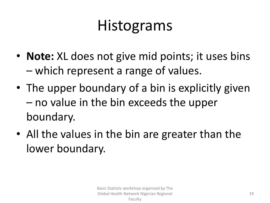# Histograms

- **Note:** XL does not give mid points; it uses bins – which represent a range of values.
- The upper boundary of a bin is explicitly given – no value in the bin exceeds the upper boundary.
- All the values in the bin are greater than the lower boundary.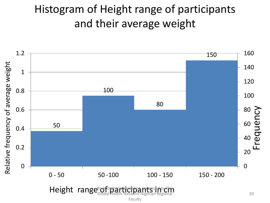#### Histogram of Height range of participants and their average weight



Faculty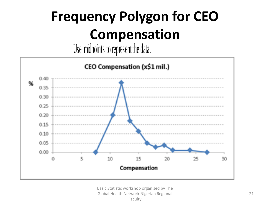# **Frequency Polygon for CEO Compensation**

Use midpoints to represent the data.

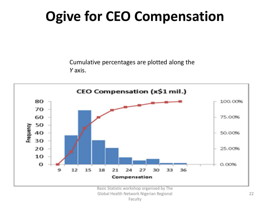# **Ogive for CEO Compensation**

Cumulative percentages are plotted along the *Y* axis.

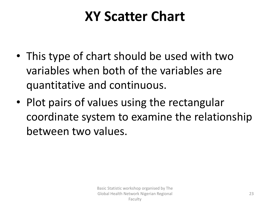### **XY Scatter Chart**

- This type of chart should be used with two variables when both of the variables are quantitative and continuous.
- Plot pairs of values using the rectangular coordinate system to examine the relationship between two values.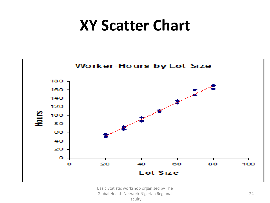## **XY Scatter Chart**

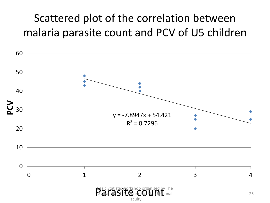#### Scattered plot of the correlation between malaria parasite count and PCV of U5 children

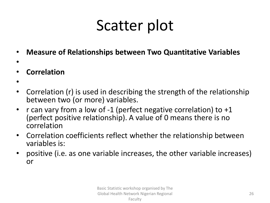- **Measure of Relationships between Two Quantitative Variables**
- •
- **Correlation**
- •
- Correlation (r) is used in describing the strength of the relationship between two (or more) variables.
- r can vary from a low of -1 (perfect negative correlation) to +1 (perfect positive relationship). A value of 0 means there is no correlation
- Correlation coefficients reflect whether the relationship between variables is:
- positive (i.e. as one variable increases, the other variable increases) or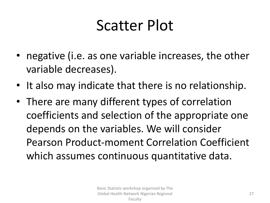- negative (i.e. as one variable increases, the other variable decreases).
- It also may indicate that there is no relationship.
- There are many different types of correlation coefficients and selection of the appropriate one depends on the variables. We will consider Pearson Product-moment Correlation Coefficient which assumes continuous quantitative data.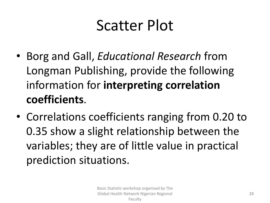- Borg and Gall, *Educational Research* from Longman Publishing, provide the following information for **interpreting correlation coefficients**.
- Correlations coefficients ranging from 0.20 to 0.35 show a slight relationship between the variables; they are of little value in practical prediction situations.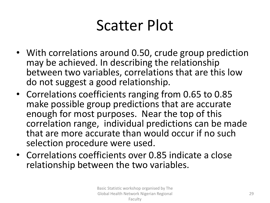- With correlations around 0.50, crude group prediction may be achieved. In describing the relationship between two variables, correlations that are this low do not suggest a good relationship.
- Correlations coefficients ranging from 0.65 to 0.85 make possible group predictions that are accurate enough for most purposes. Near the top of this correlation range, individual predictions can be made that are more accurate than would occur if no such selection procedure were used.
- Correlations coefficients over 0.85 indicate a close relationship between the two variables.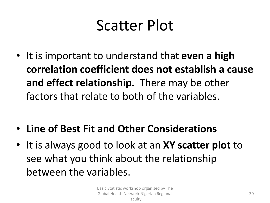- It is important to understand that **even a high correlation coefficient does not establish a cause and effect relationship.** There may be other factors that relate to both of the variables.
- **Line of Best Fit and Other Considerations**
- It is always good to look at an **XY scatter plot** to see what you think about the relationship between the variables.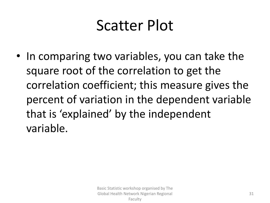• In comparing two variables, you can take the square root of the correlation to get the correlation coefficient; this measure gives the percent of variation in the dependent variable that is 'explained' by the independent variable.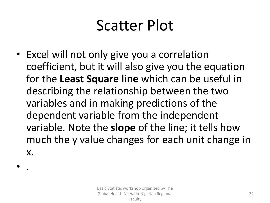• Excel will not only give you a correlation coefficient, but it will also give you the equation for the **Least Square line** which can be useful in describing the relationship between the two variables and in making predictions of the dependent variable from the independent variable. Note the **slope** of the line; it tells how much the y value changes for each unit change in x.

• .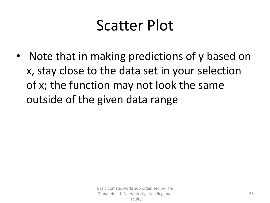• Note that in making predictions of y based on x, stay close to the data set in your selection of x; the function may not look the same outside of the given data range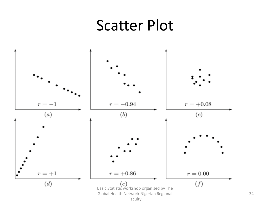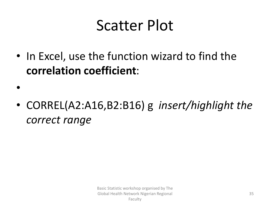• In Excel, use the function wizard to find the **correlation coefficient**:

•

• CORREL(A2:A16,B2:B16) g *insert/highlight the correct range*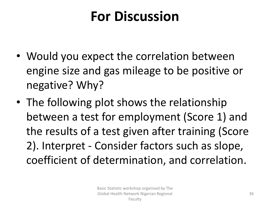### **For Discussion**

- Would you expect the correlation between engine size and gas mileage to be positive or negative? Why?
- The following plot shows the relationship between a test for employment (Score 1) and the results of a test given after training (Score 2). Interpret - Consider factors such as slope, coefficient of determination, and correlation.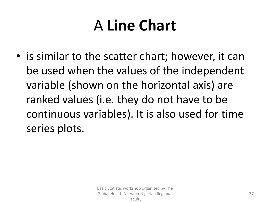# A **Line Chart**

• is similar to the scatter chart; however, it can be used when the values of the independent variable (shown on the horizontal axis) are ranked values (i.e. they do not have to be continuous variables). It is also used for time series plots.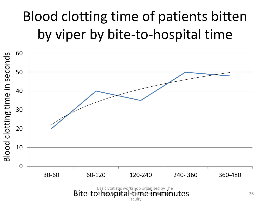# Blood clotting time of patients bitten by viper by bite-to-hospital time



Faculty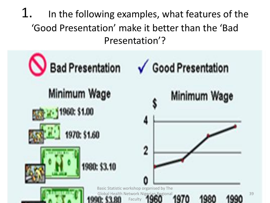1. In the following examples, what features of the 'Good Presentation' make it better than the 'Bad Presentation'?

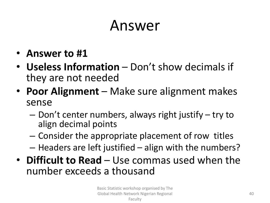## Answer

- **Answer to #1**
- **Useless Information** Don't show decimals if they are not needed
- **Poor Alignment** Make sure alignment makes sense
	- Don't center numbers, always right justify try to align decimal points
	- Consider the appropriate placement of row titles
	- Headers are left justified align with the numbers?
- **Difficult to Read** Use commas used when the number exceeds a thousand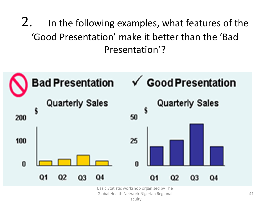2. In the following examples, what features of the 'Good Presentation' make it better than the 'Bad Presentation'?



Basic Statistic workshop organised by The

Global Health Network Nigerian Regional

Faculty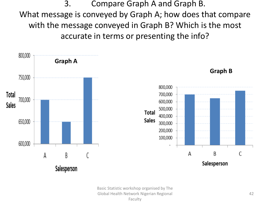3. Compare Graph A and Graph B. What message is conveyed by Graph A; how does that compare with the message conveyed in Graph B? Which is the most accurate in terms or presenting the info?



Basic Statistic workshop organised by The Global Health Network Nigerian Regional Faculty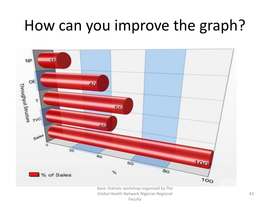# How can you improve the graph?